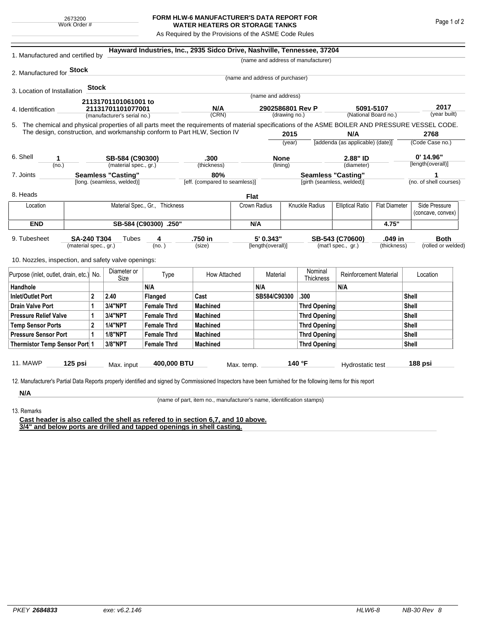## **FORM HLW-6 MANUFACTURER'S DATA REPORT FOR WATER HEATERS OR STORAGE TANKS**

As Required by the Provisions of the ASME Code Rules

| 1. Manufactured and certified by                                                                                                                                                                                                |         |                |                             |                       | Hayward Industries, Inc., 2935 Sidco Drive, Nashville, Tennessee, 37204 |               |                                 |                     |                                                                 |                               |                 |                                    |                        |  |
|---------------------------------------------------------------------------------------------------------------------------------------------------------------------------------------------------------------------------------|---------|----------------|-----------------------------|-----------------------|-------------------------------------------------------------------------|---------------|---------------------------------|---------------------|-----------------------------------------------------------------|-------------------------------|-----------------|------------------------------------|------------------------|--|
|                                                                                                                                                                                                                                 |         |                |                             |                       |                                                                         |               |                                 |                     | (name and address of manufacturer)                              |                               |                 |                                    |                        |  |
| 2. Manufactured for <b>Stock</b>                                                                                                                                                                                                |         |                |                             |                       |                                                                         |               |                                 |                     |                                                                 |                               |                 |                                    |                        |  |
|                                                                                                                                                                                                                                 |         |                |                             |                       |                                                                         |               | (name and address of purchaser) |                     |                                                                 |                               |                 |                                    |                        |  |
| 3. Location of Installation                                                                                                                                                                                                     |         | <b>Stock</b>   |                             |                       |                                                                         |               |                                 |                     |                                                                 |                               |                 |                                    |                        |  |
|                                                                                                                                                                                                                                 |         |                | 21131701101061001 to        |                       |                                                                         |               | (name and address)              |                     |                                                                 |                               |                 |                                    |                        |  |
| 4. Identification                                                                                                                                                                                                               |         |                | 21131701101077001           |                       | N/A                                                                     |               | 2902586801 Rev P                |                     |                                                                 | 5091-5107                     |                 | 2017<br>(year built)               |                        |  |
|                                                                                                                                                                                                                                 |         |                | (manufacturer's serial no.) |                       | (CRN)                                                                   | (drawing no.) |                                 |                     | (National Board no.)                                            |                               |                 |                                    |                        |  |
| 5. The chemical and physical properties of all parts meet the requirements of material specifications of the ASME BOILER AND PRESSURE VESSEL CODE.<br>The design, construction, and workmanship conform to Part HLW, Section IV |         |                |                             |                       |                                                                         |               |                                 |                     |                                                                 | 2768                          |                 |                                    |                        |  |
|                                                                                                                                                                                                                                 |         |                |                             |                       |                                                                         |               | 2015<br>(vear)                  |                     | N/A<br>[addenda (as applicable) (date)]                         |                               | (Code Case no.) |                                    |                        |  |
|                                                                                                                                                                                                                                 |         |                |                             |                       |                                                                         |               |                                 |                     |                                                                 |                               |                 |                                    |                        |  |
| 6. Shell<br>1                                                                                                                                                                                                                   |         |                | SB-584 (C90300)             |                       | .300                                                                    |               | <b>None</b>                     |                     |                                                                 | 2.88" ID                      |                 | $0'$ 14.96"                        |                        |  |
| (no.)                                                                                                                                                                                                                           |         |                | (material spec., gr.)       |                       | (thickness)                                                             |               | (lining)                        |                     | (diameter)                                                      |                               |                 | [length(overall)]                  |                        |  |
| <b>Seamless "Casting"</b><br>7. Joints                                                                                                                                                                                          |         |                |                             |                       |                                                                         | 80%           |                                 |                     | <b>Seamless "Casting"</b>                                       |                               |                 |                                    |                        |  |
|                                                                                                                                                                                                                                 |         |                | [long. (seamless, welded)]  |                       | [eff. (compared to seamless)]                                           |               |                                 |                     | [girth (seamless, welded)]                                      |                               |                 |                                    | (no. of shell courses) |  |
| 8. Heads                                                                                                                                                                                                                        |         |                |                             |                       |                                                                         |               | <b>Flat</b>                     |                     |                                                                 |                               |                 |                                    |                        |  |
| Material Spec., Gr., Thickness<br>Location                                                                                                                                                                                      |         |                |                             |                       |                                                                         | Crown Radius  |                                 | Knuckle Radius      | <b>Elliptical Ratio</b><br><b>Flat Diameter</b>                 |                               |                 | Side Pressure<br>(concave, convex) |                        |  |
| <b>END</b>                                                                                                                                                                                                                      |         |                |                             | SB-584 (C90300) .250" |                                                                         | N/A           |                                 |                     |                                                                 |                               | 4.75"           |                                    |                        |  |
| 9. Tubesheet<br>SA-240 T304<br>(material spec., gr.)                                                                                                                                                                            |         |                | Tubes                       | 4<br>(no. )           | .750 in<br>(size)                                                       |               | 5' 0.343"<br>[length(overall)]  |                     | .049 in<br>SB-543 (C70600)<br>(mat'l spec., gr.)<br>(thickness) |                               |                 | <b>Both</b><br>(rolled or welded)  |                        |  |
| 10. Nozzles, inspection, and safety valve openings:                                                                                                                                                                             |         |                |                             |                       |                                                                         |               |                                 |                     |                                                                 |                               |                 |                                    |                        |  |
| Purpose (inlet, outlet, drain, etc.) No.                                                                                                                                                                                        |         |                | Diameter or<br>Size         | Type                  | How Attached                                                            |               | Material                        |                     | Nominal<br>Thickness                                            | <b>Reinforcement Material</b> |                 | Location                           |                        |  |
| Handhole                                                                                                                                                                                                                        |         |                |                             | N/A                   |                                                                         |               | N/A                             |                     |                                                                 | N/A                           |                 |                                    |                        |  |
| <b>Inlet/Outlet Port</b><br>2                                                                                                                                                                                                   |         |                | 2.40                        | Flanged               | Cast                                                                    |               | SB584/C90300                    |                     | .300                                                            |                               | Shell           |                                    |                        |  |
| <b>Drain Valve Port</b><br>1                                                                                                                                                                                                    |         | 3/4"NPT        | <b>Female Thrd</b>          | <b>Machined</b>       |                                                                         |               |                                 | <b>Thrd Opening</b> |                                                                 |                               |                 | Shell                              |                        |  |
| <b>Pressure Relief Valve</b><br>1                                                                                                                                                                                               |         | 3/4"NPT        | <b>Female Thrd</b>          | <b>Machined</b>       |                                                                         |               |                                 | Thrd Opening        |                                                                 | Shell                         |                 |                                    |                        |  |
| $\overline{a}$<br><b>Temp Sensor Ports</b>                                                                                                                                                                                      |         |                | <b>1/4"NPT</b>              | <b>Female Thrd</b>    | <b>Machined</b>                                                         |               |                                 |                     | Thrd Opening                                                    |                               |                 |                                    | Shell                  |  |
| <b>Pressure Sensor Port</b><br>1                                                                                                                                                                                                |         | <b>1/8"NPT</b> | <b>Female Thrd</b>          | <b>Machined</b>       |                                                                         |               |                                 | Thrd Opening        |                                                                 |                               |                 | Shell                              |                        |  |
| Thermistor Temp Sensor Port 1                                                                                                                                                                                                   |         |                | 3/8"NPT                     | <b>Female Thrd</b>    | <b>Machined</b>                                                         |               |                                 |                     | Thrd Opening                                                    |                               | Shell           |                                    |                        |  |
| 11. MAWP                                                                                                                                                                                                                        | 125 psi |                | Max. input                  | 400,000 BTU           |                                                                         | Max. temp.    |                                 |                     | 140 °F                                                          | Hydrostatic test              |                 |                                    | 188 psi                |  |
| 12. Manufacturer's Partial Data Reports properly identified and signed by Commissioned Inspectors have been furnished for the following items for this report                                                                   |         |                |                             |                       |                                                                         |               |                                 |                     |                                                                 |                               |                 |                                    |                        |  |
| N/A                                                                                                                                                                                                                             |         |                |                             |                       |                                                                         |               |                                 |                     |                                                                 |                               |                 |                                    |                        |  |

13. Remarks

(name of part, item no., manufacturer's name, identification stamps)

**Cast header is also called the shell as refered to in section 6,7, and 10 above. 3/4" and below ports are drilled and tapped openings in shell casting.**